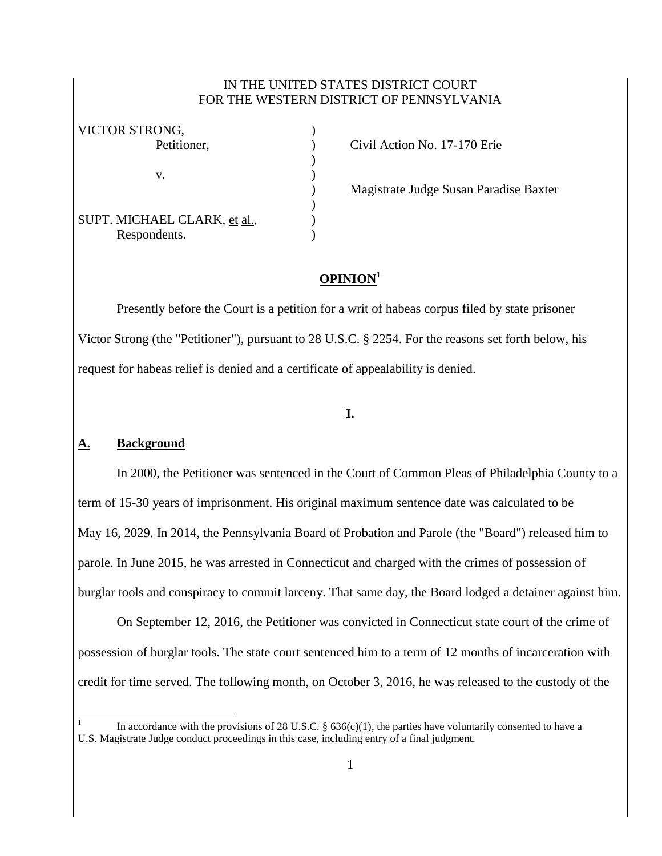### IN THE UNITED STATES DISTRICT COURT FOR THE WESTERN DISTRICT OF PENNSYLVANIA

| VICTOR STRONG,               |  |
|------------------------------|--|
| Petitioner,                  |  |
|                              |  |
| V.                           |  |
|                              |  |
|                              |  |
| SUPT. MICHAEL CLARK, et al., |  |
| Respondents.                 |  |

Civil Action No. 17-170 Erie

) Magistrate Judge Susan Paradise Baxter

# **OPINION**<sup>1</sup>

Presently before the Court is a petition for a writ of habeas corpus filed by state prisoner Victor Strong (the "Petitioner"), pursuant to 28 U.S.C. § 2254. For the reasons set forth below, his request for habeas relief is denied and a certificate of appealability is denied.

# **I.**

### **A. Background**

 $\overline{a}$ 

In 2000, the Petitioner was sentenced in the Court of Common Pleas of Philadelphia County to a term of 15-30 years of imprisonment. His original maximum sentence date was calculated to be May 16, 2029. In 2014, the Pennsylvania Board of Probation and Parole (the "Board") released him to parole. In June 2015, he was arrested in Connecticut and charged with the crimes of possession of burglar tools and conspiracy to commit larceny. That same day, the Board lodged a detainer against him.

On September 12, 2016, the Petitioner was convicted in Connecticut state court of the crime of possession of burglar tools. The state court sentenced him to a term of 12 months of incarceration with credit for time served. The following month, on October 3, 2016, he was released to the custody of the

<sup>1</sup> In accordance with the provisions of 28 U.S.C. §  $636(c)(1)$ , the parties have voluntarily consented to have a U.S. Magistrate Judge conduct proceedings in this case, including entry of a final judgment.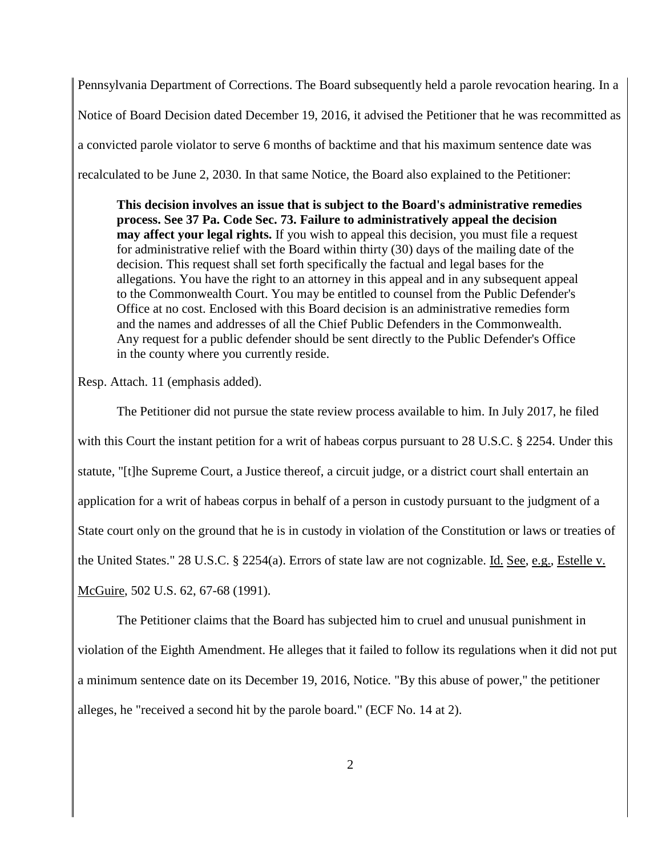Pennsylvania Department of Corrections. The Board subsequently held a parole revocation hearing. In a Notice of Board Decision dated December 19, 2016, it advised the Petitioner that he was recommitted as a convicted parole violator to serve 6 months of backtime and that his maximum sentence date was recalculated to be June 2, 2030. In that same Notice, the Board also explained to the Petitioner:

**This decision involves an issue that is subject to the Board's administrative remedies process. See 37 Pa. Code Sec. 73. Failure to administratively appeal the decision may affect your legal rights.** If you wish to appeal this decision, you must file a request for administrative relief with the Board within thirty (30) days of the mailing date of the decision. This request shall set forth specifically the factual and legal bases for the allegations. You have the right to an attorney in this appeal and in any subsequent appeal to the Commonwealth Court. You may be entitled to counsel from the Public Defender's Office at no cost. Enclosed with this Board decision is an administrative remedies form and the names and addresses of all the Chief Public Defenders in the Commonwealth. Any request for a public defender should be sent directly to the Public Defender's Office in the county where you currently reside.

Resp. Attach. 11 (emphasis added).

The Petitioner did not pursue the state review process available to him. In July 2017, he filed with this Court the instant petition for a writ of habeas corpus pursuant to 28 U.S.C. § 2254. Under this statute, "[t]he Supreme Court, a Justice thereof, a circuit judge, or a district court shall entertain an application for a writ of habeas corpus in behalf of a person in custody pursuant to the judgment of a State court only on the ground that he is in custody in violation of the Constitution or laws or treaties of the United States." 28 U.S.C. § 2254(a). Errors of state law are not cognizable. Id. See, e.g., Estelle v. McGuire, 502 U.S. 62, 67-68 (1991).

The Petitioner claims that the Board has subjected him to cruel and unusual punishment in violation of the Eighth Amendment. He alleges that it failed to follow its regulations when it did not put a minimum sentence date on its December 19, 2016, Notice. "By this abuse of power," the petitioner alleges, he "received a second hit by the parole board." (ECF No. 14 at 2).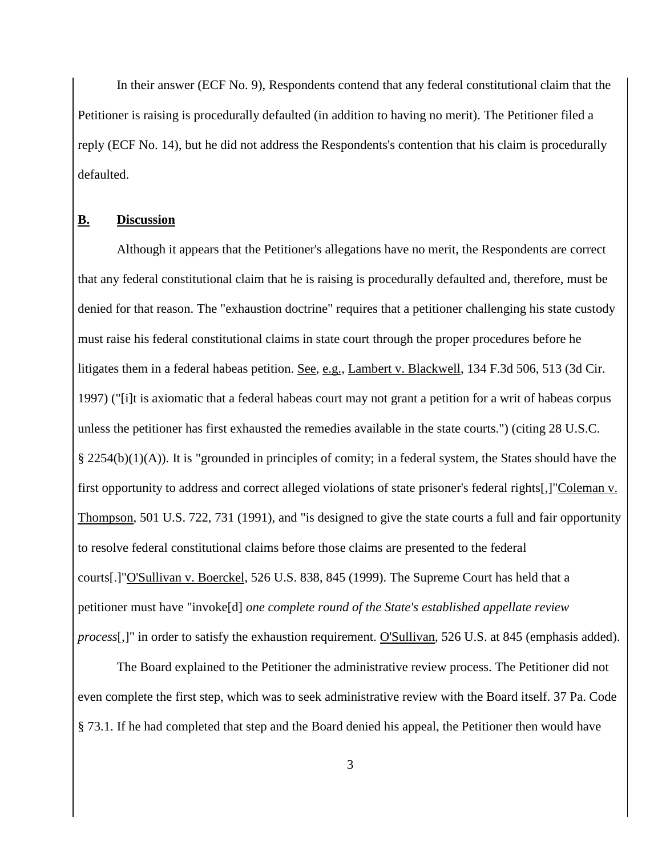In their answer (ECF No. 9), Respondents contend that any federal constitutional claim that the Petitioner is raising is procedurally defaulted (in addition to having no merit). The Petitioner filed a reply (ECF No. 14), but he did not address the Respondents's contention that his claim is procedurally defaulted.

#### **B. Discussion**

Although it appears that the Petitioner's allegations have no merit, the Respondents are correct that any federal constitutional claim that he is raising is procedurally defaulted and, therefore, must be denied for that reason. The "exhaustion doctrine" requires that a petitioner challenging his state custody must raise his federal constitutional claims in state court through the proper procedures before he litigates them in a federal habeas petition. See, e.g., Lambert v. Blackwell, 134 F.3d 506, 513 (3d Cir. 1997) ("[i]t is axiomatic that a federal habeas court may not grant a petition for a writ of habeas corpus unless the petitioner has first exhausted the remedies available in the state courts.") (citing 28 U.S.C. § 2254(b)(1)(A)). It is "grounded in principles of comity; in a federal system, the States should have the first opportunity to address and correct alleged violations of state prisoner's federal rights[,]"Coleman v. Thompson, 501 U.S. 722, 731 (1991), and "is designed to give the state courts a full and fair opportunity to resolve federal constitutional claims before those claims are presented to the federal courts[.]"O'Sullivan v. Boerckel, 526 U.S. 838, 845 (1999). The Supreme Court has held that a petitioner must have "invoke[d] *one complete round of the State's established appellate review process*[,]" in order to satisfy the exhaustion requirement. O'Sullivan, 526 U.S. at 845 (emphasis added).

The Board explained to the Petitioner the administrative review process. The Petitioner did not even complete the first step, which was to seek administrative review with the Board itself. 37 Pa. Code § 73.1. If he had completed that step and the Board denied his appeal, the Petitioner then would have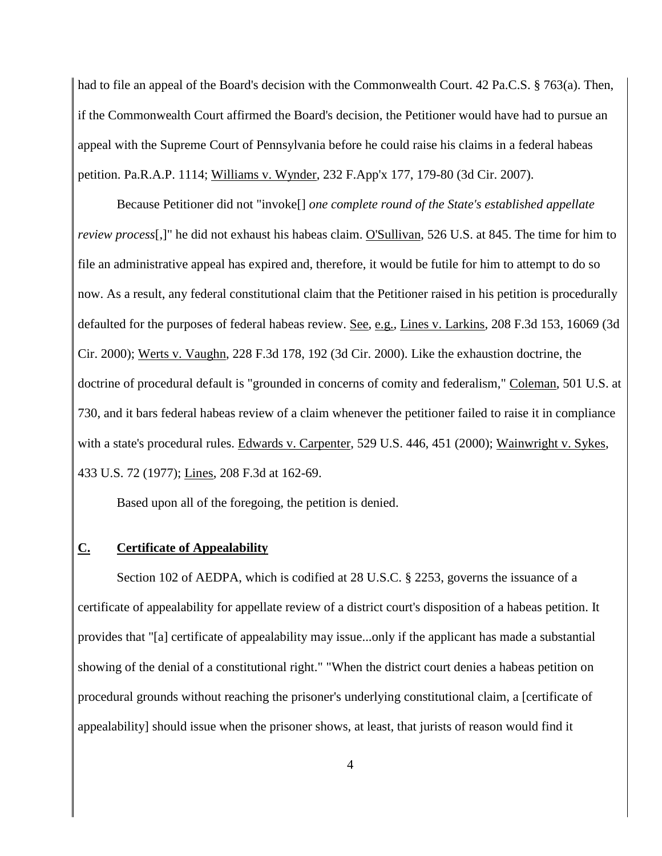had to file an appeal of the Board's decision with the Commonwealth Court. 42 Pa.C.S. § 763(a). Then, if the Commonwealth Court affirmed the Board's decision, the Petitioner would have had to pursue an appeal with the Supreme Court of Pennsylvania before he could raise his claims in a federal habeas petition. Pa.R.A.P. 1114; Williams v. Wynder, 232 F.App'x 177, 179-80 (3d Cir. 2007).

Because Petitioner did not "invoke[] *one complete round of the State's established appellate review process*[,]" he did not exhaust his habeas claim. O'Sullivan, 526 U.S. at 845. The time for him to file an administrative appeal has expired and, therefore, it would be futile for him to attempt to do so now. As a result, any federal constitutional claim that the Petitioner raised in his petition is procedurally defaulted for the purposes of federal habeas review. See, e.g., Lines v. Larkins, 208 F.3d 153, 16069 (3d Cir. 2000); Werts v. Vaughn, 228 F.3d 178, 192 (3d Cir. 2000). Like the exhaustion doctrine, the doctrine of procedural default is "grounded in concerns of comity and federalism," Coleman, 501 U.S. at 730, and it bars federal habeas review of a claim whenever the petitioner failed to raise it in compliance with a state's procedural rules. Edwards v. Carpenter, 529 U.S. 446, 451 (2000); Wainwright v. Sykes, 433 U.S. 72 (1977); Lines, 208 F.3d at 162-69.

Based upon all of the foregoing, the petition is denied.

#### **C. Certificate of Appealability**

Section 102 of AEDPA, which is codified at 28 U.S.C. § 2253, governs the issuance of a certificate of appealability for appellate review of a district court's disposition of a habeas petition. It provides that "[a] certificate of appealability may issue...only if the applicant has made a substantial showing of the denial of a constitutional right." "When the district court denies a habeas petition on procedural grounds without reaching the prisoner's underlying constitutional claim, a [certificate of appealability] should issue when the prisoner shows, at least, that jurists of reason would find it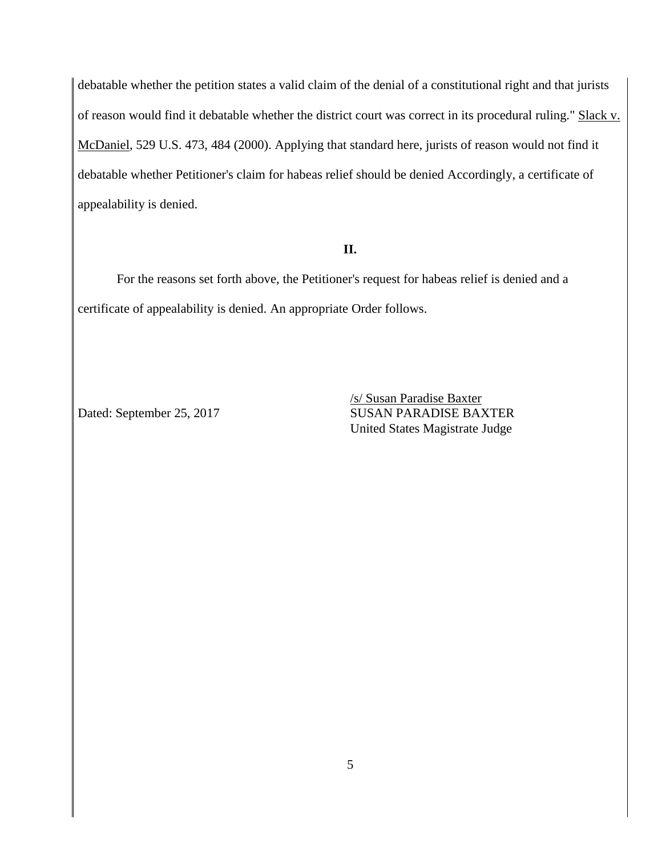debatable whether the petition states a valid claim of the denial of a constitutional right and that jurists of reason would find it debatable whether the district court was correct in its procedural ruling." Slack v. McDaniel, 529 U.S. 473, 484 (2000). Applying that standard here, jurists of reason would not find it debatable whether Petitioner's claim for habeas relief should be denied Accordingly, a certificate of appealability is denied.

#### **II.**

For the reasons set forth above, the Petitioner's request for habeas relief is denied and a certificate of appealability is denied. An appropriate Order follows.

/s/ Susan Paradise Baxter Dated: September 25, 2017 SUSAN PARADISE BAXTER United States Magistrate Judge